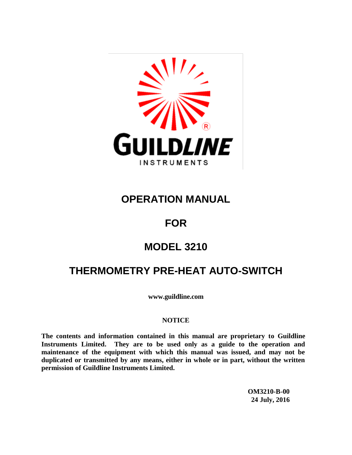

## **OPERATION MANUAL**

## **FOR**

# **MODEL 3210**

# **THERMOMETRY PRE-HEAT AUTO-SWITCH**

**www.guildline.com**

#### **NOTICE**

**The contents and information contained in this manual are proprietary to Guildline Instruments Limited. They are to be used only as a guide to the operation and maintenance of the equipment with which this manual was issued, and may not be duplicated or transmitted by any means, either in whole or in part, without the written permission of Guildline Instruments Limited.**

> **OM3210-B-00 24 July, 2016**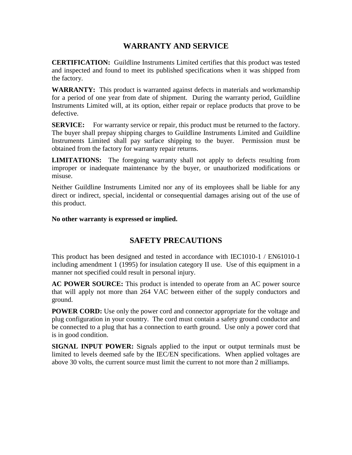### **WARRANTY AND SERVICE**

**CERTIFICATION:** Guildline Instruments Limited certifies that this product was tested and inspected and found to meet its published specifications when it was shipped from the factory.

**WARRANTY:** This product is warranted against defects in materials and workmanship for a period of one year from date of shipment. During the warranty period, Guildline Instruments Limited will, at its option, either repair or replace products that prove to be defective.

**SERVICE:** For warranty service or repair, this product must be returned to the factory. The buyer shall prepay shipping charges to Guildline Instruments Limited and Guildline Instruments Limited shall pay surface shipping to the buyer. Permission must be obtained from the factory for warranty repair returns.

**LIMITATIONS:** The foregoing warranty shall not apply to defects resulting from improper or inadequate maintenance by the buyer, or unauthorized modifications or misuse.

Neither Guildline Instruments Limited nor any of its employees shall be liable for any direct or indirect, special, incidental or consequential damages arising out of the use of this product.

#### **No other warranty is expressed or implied.**

#### **SAFETY PRECAUTIONS**

This product has been designed and tested in accordance with IEC1010-1 / EN61010-1 including amendment 1 (1995) for insulation category II use. Use of this equipment in a manner not specified could result in personal injury.

**AC POWER SOURCE:** This product is intended to operate from an AC power source that will apply not more than 264 VAC between either of the supply conductors and ground.

**POWER CORD:** Use only the power cord and connector appropriate for the voltage and plug configuration in your country. The cord must contain a safety ground conductor and be connected to a plug that has a connection to earth ground. Use only a power cord that is in good condition.

**SIGNAL INPUT POWER:** Signals applied to the input or output terminals must be limited to levels deemed safe by the IEC/EN specifications. When applied voltages are above 30 volts, the current source must limit the current to not more than 2 milliamps.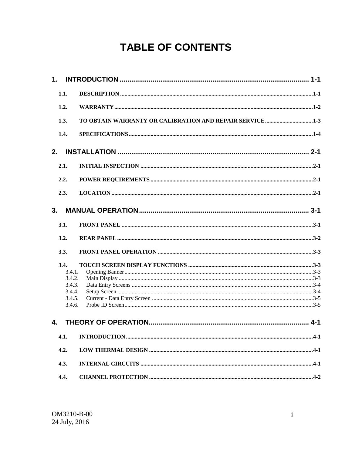# **TABLE OF CONTENTS**

| 1.               |                                                         |         |
|------------------|---------------------------------------------------------|---------|
| 1.1.             |                                                         |         |
| 1.2.             |                                                         |         |
| 1.3.             | TO OBTAIN WARRANTY OR CALIBRATION AND REPAIR SERVICE1-3 |         |
| 1.4.             |                                                         |         |
| 2.               |                                                         |         |
| 2.1.             |                                                         |         |
| 2.2.             |                                                         |         |
| 2.3.             |                                                         |         |
| 3.               |                                                         |         |
| 3.1.             |                                                         |         |
| 3.2.             |                                                         |         |
| 3.3.             |                                                         |         |
| 3.4.             |                                                         |         |
| 3.4.1.           |                                                         |         |
| 3.4.2.           |                                                         |         |
| 3.4.3.<br>3.4.4. |                                                         |         |
| 3.4.5.           |                                                         |         |
| 3.4.6.           |                                                         |         |
| 4.               |                                                         | $4 - 1$ |
| 4.1.             |                                                         |         |
| 4.2.             |                                                         |         |
| 4.3.             |                                                         |         |
| 4.4.             |                                                         |         |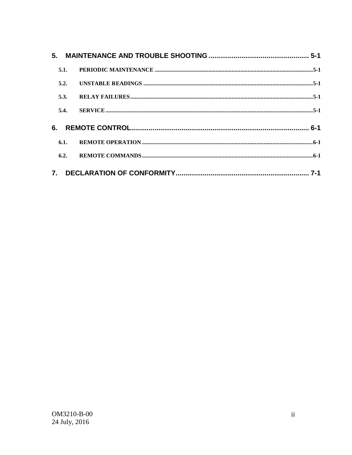| 5.1. |  |
|------|--|
| 5.2. |  |
| 5.3. |  |
| 5.4. |  |
| 6.   |  |
| 6.1. |  |
| 6.2. |  |
|      |  |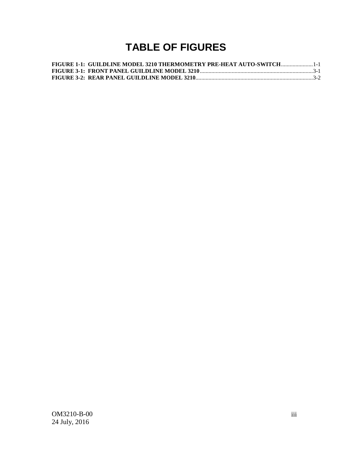# **TABLE OF FIGURES**

| FIGURE 1-1: GUILDLINE MODEL 3210 THERMOMETRY PRE-HEAT AUTO-SWITCH1-1 |  |
|----------------------------------------------------------------------|--|
|                                                                      |  |
|                                                                      |  |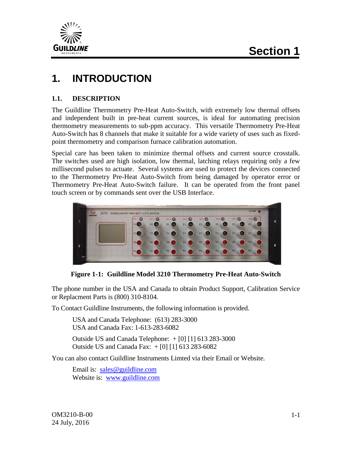

# **1. INTRODUCTION**

#### **1.1. DESCRIPTION**

The Guildline Thermometry Pre-Heat Auto-Switch, with extremely low thermal offsets and independent built in pre-heat current sources, is ideal for automating precision thermometry measurements to sub-ppm accuracy. This versatile Thermometry Pre-Heat Auto-Switch has 8 channels that make it suitable for a wide variety of uses such as fixedpoint thermometry and comparison furnace calibration automation.

Special care has been taken to minimize thermal offsets and current source crosstalk. The switches used are high isolation, low thermal, latching relays requiring only a few millisecond pulses to actuate. Several systems are used to protect the devices connected to the Thermometry Pre-Heat Auto-Switch from being damaged by operator error or Thermometry Pre-Heat Auto-Switch failure. It can be operated from the front panel touch screen or by commands sent over the USB Interface.



**Figure 1-1: Guildline Model 3210 Thermometry Pre-Heat Auto-Switch**

The phone number in the USA and Canada to obtain Product Support, Calibration Service or Replacment Parts is (800) 310-8104.

To Contact Guildline Instruments, the following information is provided.

USA and Canada Telephone: (613) 283-3000 USA and Canada Fax: 1-613-283-6082

Outside US and Canada Telephone:  $+$  [0] [1] 613 283-3000 Outside US and Canada Fax: + [0] [1] 613 283-6082

You can also contact Guildline Instruments Limted via their Email or Website.

Email is: [sales@guildline.com](mailto:sales@guildline.com) Website is: [www.guildline.com](http://www.guildline.com/)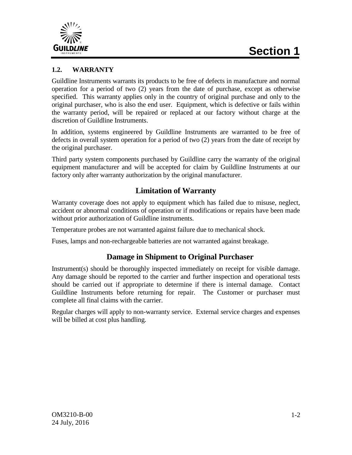

#### **1.2. WARRANTY**

Guildline Instruments warrants its products to be free of defects in manufacture and normal operation for a period of two (2) years from the date of purchase, except as otherwise specified. This warranty applies only in the country of original purchase and only to the original purchaser, who is also the end user. Equipment, which is defective or fails within the warranty period, will be repaired or replaced at our factory without charge at the discretion of Guildline Instruments.

In addition, systems engineered by Guildline Instruments are warranted to be free of defects in overall system operation for a period of two (2) years from the date of receipt by the original purchaser.

Third party system components purchased by Guildline carry the warranty of the original equipment manufacturer and will be accepted for claim by Guildline Instruments at our factory only after warranty authorization by the original manufacturer.

#### **Limitation of Warranty**

Warranty coverage does not apply to equipment which has failed due to misuse, neglect, accident or abnormal conditions of operation or if modifications or repairs have been made without prior authorization of Guildline instruments.

Temperature probes are not warranted against failure due to mechanical shock.

Fuses, lamps and non-rechargeable batteries are not warranted against breakage.

#### **Damage in Shipment to Original Purchaser**

Instrument(s) should be thoroughly inspected immediately on receipt for visible damage. Any damage should be reported to the carrier and further inspection and operational tests should be carried out if appropriate to determine if there is internal damage. Contact Guildline Instruments before returning for repair. The Customer or purchaser must complete all final claims with the carrier.

Regular charges will apply to non-warranty service. External service charges and expenses will be billed at cost plus handling.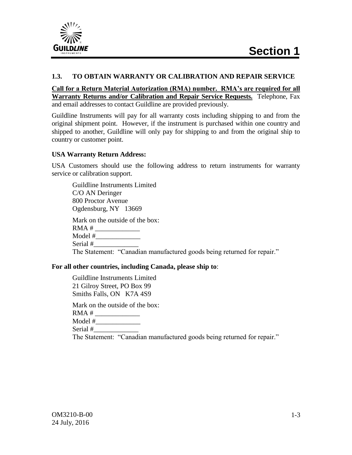

#### **1.3. TO OBTAIN WARRANTY OR CALIBRATION AND REPAIR SERVICE**

**Call for a Return Material Autorization (RMA) number. RMA's are required for all Warranty Returns and/or Calibration and Repair Service Requests.** Telephone, Fax and email addresses to contact Guildline are provided previously.

Guildline Instruments will pay for all warranty costs including shipping to and from the original shipment point. However, if the instrument is purchased within one country and shipped to another, Guildline will only pay for shipping to and from the original ship to country or customer point.

#### **USA Warranty Return Address:**

USA Customers should use the following address to return instruments for warranty service or calibration support.

Guildline Instruments Limited C/O AN Deringer 800 Proctor Avenue Ogdensburg, NY 13669 Mark on the outside of the box: RMA # \_\_\_\_\_\_\_\_\_\_\_\_\_ Model #\_\_\_\_\_\_\_\_\_\_\_\_\_ Serial # The Statement: "Canadian manufactured goods being returned for repair." **For all other countries, including Canada, please ship to**:

Guildline Instruments Limited 21 Gilroy Street, PO Box 99 Smiths Falls, ON K7A 4S9

Mark on the outside of the box:

RMA # \_\_\_\_\_\_\_\_\_\_\_\_\_

Model #\_\_\_\_\_\_\_\_\_\_\_\_\_

Serial #

The Statement: "Canadian manufactured goods being returned for repair."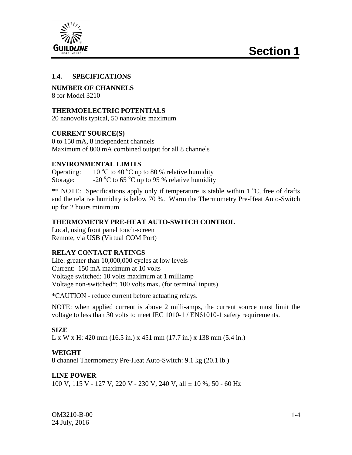

#### **1.4. SPECIFICATIONS**

**NUMBER OF CHANNELS** 8 for Model 3210

#### **THERMOELECTRIC POTENTIALS**

20 nanovolts typical, 50 nanovolts maximum

#### **CURRENT SOURCE(S)**

0 to 150 mA, 8 independent channels Maximum of 800 mA combined output for all 8 channels

#### **ENVIRONMENTAL LIMITS**

Operating:  $10^{\circ}$ C to 40  $^{\circ}$ C up to 80 % relative humidity Storage:  $-20 \degree C$  to 65  $\degree C$  up to 95 % relative humidity

\*\* NOTE: Specifications apply only if temperature is stable within  $1^{\circ}C$ , free of drafts and the relative humidity is below 70 %. Warm the Thermometry Pre-Heat Auto-Switch up for 2 hours minimum.

#### **THERMOMETRY PRE-HEAT AUTO-SWITCH CONTROL**

Local, using front panel touch-screen Remote, via USB (Virtual COM Port)

#### **RELAY CONTACT RATINGS**

Life: greater than 10,000,000 cycles at low levels Current: 150 mA maximum at 10 volts Voltage switched: 10 volts maximum at 1 milliamp Voltage non-switched\*: 100 volts max. (for terminal inputs)

\*CAUTION - reduce current before actuating relays.

NOTE: when applied current is above 2 milli-amps, the current source must limit the voltage to less than 30 volts to meet IEC 1010-1 / EN61010-1 safety requirements.

#### **SIZE**

L x W x H: 420 mm (16.5 in.) x 451 mm (17.7 in.) x 138 mm (5.4 in.)

#### **WEIGHT**

8 channel Thermometry Pre-Heat Auto-Switch: 9.1 kg (20.1 lb.)

#### **LINE POWER**

100 V, 115 V - 127 V, 220 V - 230 V, 240 V, all ± 10 %; 50 - 60 Hz

OM3210-B-00 24 July, 2016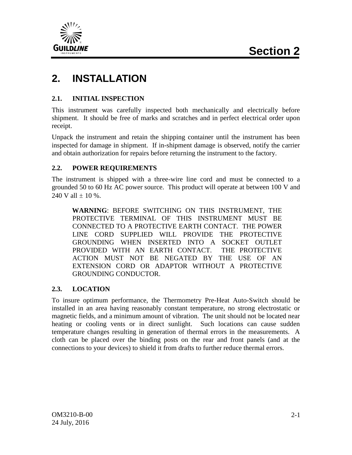

# **2. INSTALLATION**

#### **2.1. INITIAL INSPECTION**

This instrument was carefully inspected both mechanically and electrically before shipment. It should be free of marks and scratches and in perfect electrical order upon receipt.

Unpack the instrument and retain the shipping container until the instrument has been inspected for damage in shipment. If in-shipment damage is observed, notify the carrier and obtain authorization for repairs before returning the instrument to the factory.

#### **2.2. POWER REQUIREMENTS**

The instrument is shipped with a three-wire line cord and must be connected to a grounded 50 to 60 Hz AC power source. This product will operate at between 100 V and 240 V all  $\pm$  10 %.

**WARNING**: BEFORE SWITCHING ON THIS INSTRUMENT, THE PROTECTIVE TERMINAL OF THIS INSTRUMENT MUST BE CONNECTED TO A PROTECTIVE EARTH CONTACT. THE POWER LINE CORD SUPPLIED WILL PROVIDE THE PROTECTIVE GROUNDING WHEN INSERTED INTO A SOCKET OUTLET PROVIDED WITH AN EARTH CONTACT. THE PROTECTIVE ACTION MUST NOT BE NEGATED BY THE USE OF AN EXTENSION CORD OR ADAPTOR WITHOUT A PROTECTIVE GROUNDING CONDUCTOR.

#### **2.3. LOCATION**

To insure optimum performance, the Thermometry Pre-Heat Auto-Switch should be installed in an area having reasonably constant temperature, no strong electrostatic or magnetic fields, and a minimum amount of vibration. The unit should not be located near heating or cooling vents or in direct sunlight. Such locations can cause sudden temperature changes resulting in generation of thermal errors in the measurements. A cloth can be placed over the binding posts on the rear and front panels (and at the connections to your devices) to shield it from drafts to further reduce thermal errors.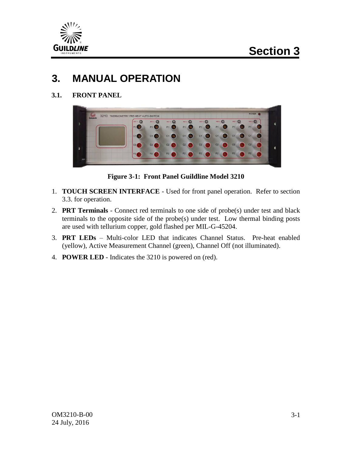

# **3. MANUAL OPERATION**

**3.1. FRONT PANEL**



**Figure 3-1: Front Panel Guildline Model 3210**

- 1. **TOUCH SCREEN INTERFACE** Used for front panel operation. Refer to section 3.3. for operation.
- 2. **PRT Terminals** Connect red terminals to one side of probe(s) under test and black terminals to the opposite side of the probe(s) under test. Low thermal binding posts are used with tellurium copper, gold flashed per MIL-G-45204.
- 3. **PRT LEDs** Multi-color LED that indicates Channel Status. Pre-heat enabled (yellow), Active Measurement Channel (green), Channel Off (not illuminated).
- 4. **POWER LED** Indicates the 3210 is powered on (red).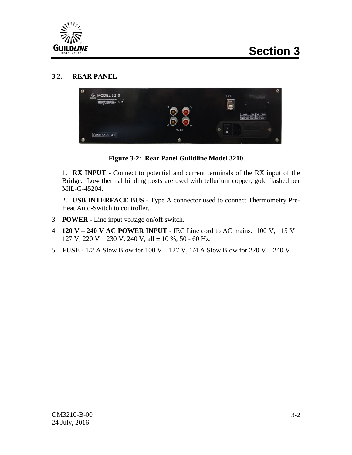

#### **3.2. REAR PANEL**



**Figure 3-2: Rear Panel Guildline Model 3210**

1. **RX INPUT** - Connect to potential and current terminals of the RX input of the Bridge. Low thermal binding posts are used with tellurium copper, gold flashed per MIL-G-45204.

2. **USB INTERFACE BUS** - Type A connector used to connect Thermometry Pre-Heat Auto-Switch to controller.

- 3. **POWER** Line input voltage on/off switch.
- 4. **120 V – 240 V AC POWER INPUT** IEC Line cord to AC mains. 100 V, 115 V 127 V, 220 V – 230 V, 240 V, all  $\pm$  10 %; 50 - 60 Hz.
- 5. **FUSE** 1/2 A Slow Blow for 100 V 127 V, 1/4 A Slow Blow for 220 V 240 V.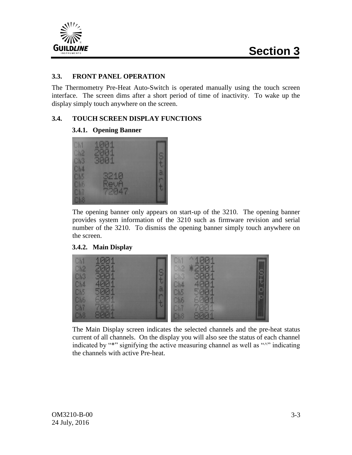

#### **3.3. FRONT PANEL OPERATION**

The Thermometry Pre-Heat Auto-Switch is operated manually using the touch screen interface. The screen dims after a short period of time of inactivity. To wake up the display simply touch anywhere on the screen.

#### **3.4. TOUCH SCREEN DISPLAY FUNCTIONS**

#### **3.4.1. Opening Banner**



The opening banner only appears on start-up of the 3210. The opening banner provides system information of the 3210 such as firmware revision and serial number of the 3210. To dismiss the opening banner simply touch anywhere on the screen.

#### **3.4.2. Main Display**



The Main Display screen indicates the selected channels and the pre-heat status current of all channels. On the display you will also see the status of each channel indicated by "\*" signifying the active measuring channel as well as "^" indicating the channels with active Pre-heat.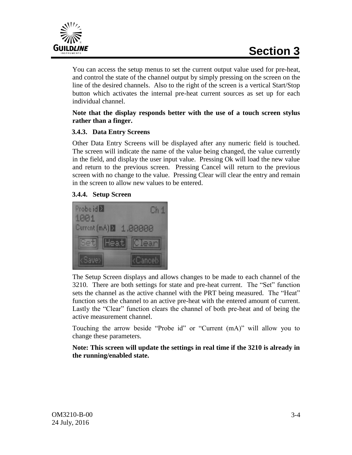

You can access the setup menus to set the current output value used for pre-heat, and control the state of the channel output by simply pressing on the screen on the line of the desired channels. Also to the right of the screen is a vertical Start/Stop button which activates the internal pre-heat current sources as set up for each individual channel.

#### **Note that the display responds better with the use of a touch screen stylus rather than a finger.**

#### **3.4.3. Data Entry Screens**

Other Data Entry Screens will be displayed after any numeric field is touched. The screen will indicate the name of the value being changed, the value currently in the field, and display the user input value. Pressing Ok will load the new value and return to the previous screen. Pressing Cancel will return to the previous screen with no change to the value. Pressing Clear will clear the entry and remain in the screen to allow new values to be entered.

#### **3.4.4. Setup Screen**



The Setup Screen displays and allows changes to be made to each channel of the 3210. There are both settings for state and pre-heat current. The "Set" function sets the channel as the active channel with the PRT being measured. The "Heat" function sets the channel to an active pre-heat with the entered amount of current. Lastly the "Clear" function clears the channel of both pre-heat and of being the active measurement channel.

Touching the arrow beside "Probe id" or "Current (mA)" will allow you to change these parameters.

**Note: This screen will update the settings in real time if the 3210 is already in the running/enabled state.**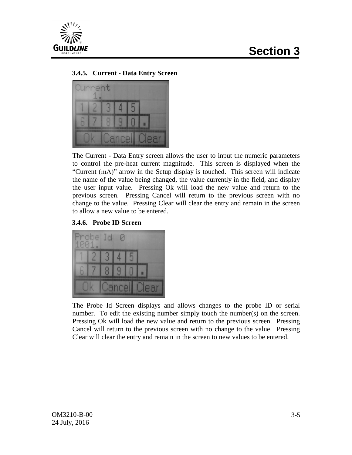

#### **3.4.5. Current - Data Entry Screen**



The Current - Data Entry screen allows the user to input the numeric parameters to control the pre-heat current magnitude. This screen is displayed when the "Current (mA)" arrow in the Setup display is touched. This screen will indicate the name of the value being changed, the value currently in the field, and display the user input value. Pressing Ok will load the new value and return to the previous screen. Pressing Cancel will return to the previous screen with no change to the value. Pressing Clear will clear the entry and remain in the screen to allow a new value to be entered.

#### **3.4.6. Probe ID Screen**



The Probe Id Screen displays and allows changes to the probe ID or serial number. To edit the existing number simply touch the number(s) on the screen. Pressing Ok will load the new value and return to the previous screen. Pressing Cancel will return to the previous screen with no change to the value. Pressing Clear will clear the entry and remain in the screen to new values to be entered.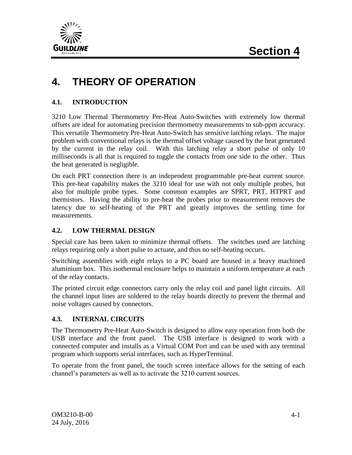

# **4. THEORY OF OPERATION**

#### **4.1. INTRODUCTION**

3210 Low Thermal Thermometry Pre-Heat Auto-Switches with extremely low thermal offsets are ideal for automating precision thermometry measurements to sub-ppm accuracy. This versatile Thermometry Pre-Heat Auto-Switch has sensitive latching relays. The major problem with conventional relays is the thermal offset voltage caused by the heat generated by the current in the relay coil. With this latching relay a short pulse of only 10 milliseconds is all that is required to toggle the contacts from one side to the other. Thus the heat generated is negligible.

On each PRT connection there is an independent programmable pre-heat current source. This pre-heat capability makes the 3210 ideal for use with not only multiple probes, but also for multiple probe types. Some common examples are SPRT, PRT, HTPRT and thermistors. Having the ability to pre-heat the probes prior to measurement removes the latency due to self-heating of the PRT and greatly improves the settling time for measurements.

#### **4.2. LOW THERMAL DESIGN**

Special care has been taken to minimize thermal offsets. The switches used are latching relays requiring only a short pulse to actuate, and thus no self-heating occurs.

Switching assemblies with eight relays to a PC board are housed in a heavy machined aluminium box. This isothermal enclosure helps to maintain a uniform temperature at each of the relay contacts.

The printed circuit edge connectors carry only the relay coil and panel light circuits. All the channel input lines are soldered to the relay boards directly to prevent the thermal and noise voltages caused by connectors.

#### **4.3. INTERNAL CIRCUITS**

The Thermometry Pre-Heat Auto-Switch is designed to allow easy operation from both the USB interface and the front panel. The USB interface is designed to work with a connected computer and installs as a Virtual COM Port and can be used with any terminal program which supports serial interfaces, such as HyperTerminal.

To operate from the front panel, the touch screen interface allows for the setting of each channel's parameters as well as to activate the 3210 current sources.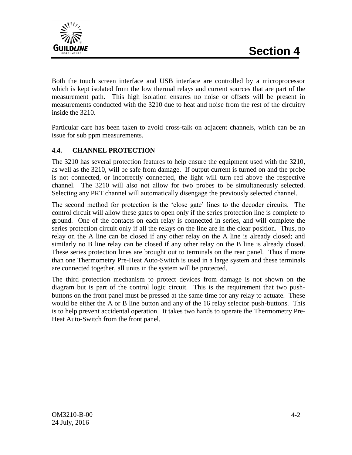

Both the touch screen interface and USB interface are controlled by a microprocessor which is kept isolated from the low thermal relays and current sources that are part of the measurement path. This high isolation ensures no noise or offsets will be present in measurements conducted with the 3210 due to heat and noise from the rest of the circuitry inside the 3210.

Particular care has been taken to avoid cross-talk on adjacent channels, which can be an issue for sub ppm measurements.

#### **4.4. CHANNEL PROTECTION**

The 3210 has several protection features to help ensure the equipment used with the 3210, as well as the 3210, will be safe from damage. If output current is turned on and the probe is not connected, or incorrectly connected, the light will turn red above the respective channel. The 3210 will also not allow for two probes to be simultaneously selected. Selecting any PRT channel will automatically disengage the previously selected channel.

The second method for protection is the 'close gate' lines to the decoder circuits. The control circuit will allow these gates to open only if the series protection line is complete to ground. One of the contacts on each relay is connected in series, and will complete the series protection circuit only if all the relays on the line are in the clear position. Thus, no relay on the A line can be closed if any other relay on the A line is already closed; and similarly no B line relay can be closed if any other relay on the B line is already closed. These series protection lines are brought out to terminals on the rear panel. Thus if more than one Thermometry Pre-Heat Auto-Switch is used in a large system and these terminals are connected together, all units in the system will be protected.

The third protection mechanism to protect devices from damage is not shown on the diagram but is part of the control logic circuit. This is the requirement that two pushbuttons on the front panel must be pressed at the same time for any relay to actuate. These would be either the A or B line button and any of the 16 relay selector push-buttons. This is to help prevent accidental operation. It takes two hands to operate the Thermometry Pre-Heat Auto-Switch from the front panel.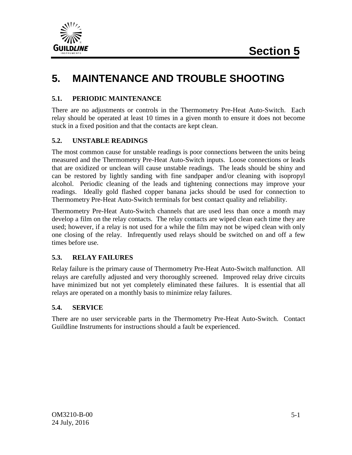

# **5. MAINTENANCE AND TROUBLE SHOOTING**

#### **5.1. PERIODIC MAINTENANCE**

There are no adjustments or controls in the Thermometry Pre-Heat Auto-Switch. Each relay should be operated at least 10 times in a given month to ensure it does not become stuck in a fixed position and that the contacts are kept clean.

#### **5.2. UNSTABLE READINGS**

The most common cause for unstable readings is poor connections between the units being measured and the Thermometry Pre-Heat Auto-Switch inputs. Loose connections or leads that are oxidized or unclean will cause unstable readings. The leads should be shiny and can be restored by lightly sanding with fine sandpaper and/or cleaning with isopropyl alcohol. Periodic cleaning of the leads and tightening connections may improve your readings. Ideally gold flashed copper banana jacks should be used for connection to Thermometry Pre-Heat Auto-Switch terminals for best contact quality and reliability.

Thermometry Pre-Heat Auto-Switch channels that are used less than once a month may develop a film on the relay contacts. The relay contacts are wiped clean each time they are used; however, if a relay is not used for a while the film may not be wiped clean with only one closing of the relay. Infrequently used relays should be switched on and off a few times before use.

#### **5.3. RELAY FAILURES**

Relay failure is the primary cause of Thermometry Pre-Heat Auto-Switch malfunction. All relays are carefully adjusted and very thoroughly screened. Improved relay drive circuits have minimized but not yet completely eliminated these failures. It is essential that all relays are operated on a monthly basis to minimize relay failures.

#### **5.4. SERVICE**

There are no user serviceable parts in the Thermometry Pre-Heat Auto-Switch. Contact Guildline Instruments for instructions should a fault be experienced.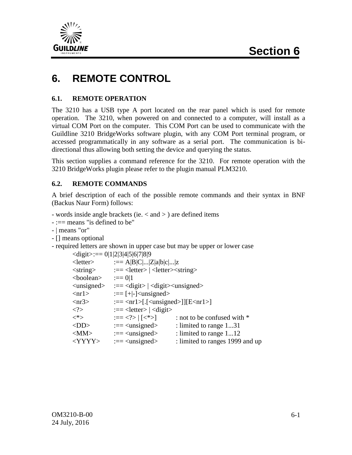

# **6. REMOTE CONTROL**

#### **6.1. REMOTE OPERATION**

The 3210 has a USB type A port located on the rear panel which is used for remote operation. The 3210, when powered on and connected to a computer, will install as a virtual COM Port on the computer. This COM Port can be used to communicate with the Guildline 3210 BridgeWorks software plugin, with any COM Port terminal program, or accessed programmatically in any software as a serial port. The communication is bidirectional thus allowing both setting the device and querying the status.

This section supplies a command reference for the 3210. For remote operation with the 3210 BridgeWorks plugin please refer to the plugin manual PLM3210.

#### **6.2. REMOTE COMMANDS**

A brief description of each of the possible remote commands and their syntax in BNF (Backus Naur Form) follows:

- words inside angle brackets (ie. < and > ) are defined items

- :== means "is defined to be"

- | means "or"

- [] means optional

- required letters are shown in upper case but may be upper or lower case

|                            | $\langle$ digit $\rangle := 0 1 2 3 4 5 6 7 8 9$                             |                                 |
|----------------------------|------------------------------------------------------------------------------|---------------------------------|
| $<$ letter $>$             | $:=$ A B C  Z a b c  z                                                       |                                 |
| $\langle$ string $\rangle$ | $:=$ < letter> $\vert$ < letter> < string>                                   |                                 |
| <boolean></boolean>        | $:==0 1$                                                                     |                                 |
|                            | $\langle$ unsigned> $:=\langle$ digit> $ \langle$ digit> $\rangle$ unsigned> |                                 |
| $\langle$ nr1>             | $:=$ [+ -] <unsigned></unsigned>                                             |                                 |
| $\langle nr3\rangle$       | $:=$ <nr1>[.[<unsigned>]][E<nr1>]</nr1></unsigned></nr1>                     |                                 |
| $\mathord{<}2\mathord{>}$  | $:=$ < letter > $\vert$ < digit >                                            |                                 |
| $<^*>$                     | $:= [<^*>]$                                                                  | : not to be confused with *     |
| $<$ DD>                    | $:=<$ unsigned>                                                              | : limited to range 131          |
| $<$ MM $>$                 | $:=<$ unsigned $>$                                                           | : limited to range 112          |
| <yyyy></yyyy>              | $:=<$ unsigned>                                                              | : limited to ranges 1999 and up |
|                            |                                                                              |                                 |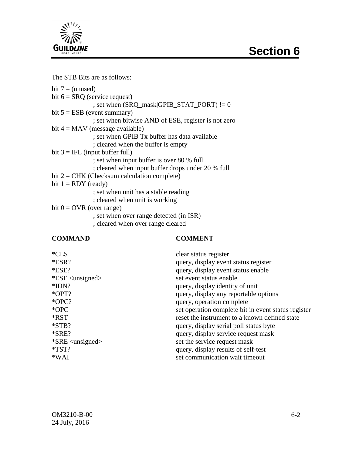



The STB Bits are as follows:

bit  $7 =$  (unused) bit  $6 = SRQ$  (service request) ; set when  $(SRQ\_mask|GPIB\_STAT\_PORT)$  != 0 bit  $5 = ESB$  (event summary) ; set when bitwise AND of ESE, register is not zero bit  $4 =$ MAV (message available) ; set when GPIB Tx buffer has data available ; cleared when the buffer is empty bit  $3 = IFL$  (input buffer full) ; set when input buffer is over 80 % full ; cleared when input buffer drops under 20 % full  $bit 2 = CHK$  (Checksum calculation complete) bit  $1 = RDY$  (ready) ; set when unit has a stable reading ; cleared when unit is working bit  $0 = \text{OVR}$  (over range) ; set when over range detected (in ISR)

; cleared when over range cleared

#### **COMMAND COMMENT**

| $*CLS$                                 | clear status register                               |
|----------------------------------------|-----------------------------------------------------|
| $*ESR?$                                | query, display event status register                |
| $*ESE?$                                | query, display event status enable                  |
| $*ESE \langle \text{unsigned} \rangle$ | set event status enable                             |
| $*IDN?$                                | query, display identity of unit                     |
| *OPT?                                  | query, display any reportable options               |
| $*OPC?$                                | query, operation complete                           |
| $*$ OPC                                | set operation complete bit in event status register |
| *RST                                   | reset the instrument to a known defined state       |
| $*STB?$                                | query, display serial poll status byte              |
| $*SRE?$                                | query, display service request mask                 |
| $*SRE \langle unsigned \rangle$        | set the service request mask                        |
| $*TST?$                                | query, display results of self-test                 |
| $*WAI$                                 | set communication wait timeout                      |
|                                        |                                                     |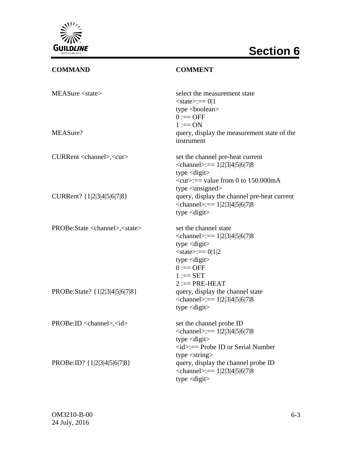

# **Section 6**

## **COMMAND COMMENT**

| MEASure <state></state>                         | select the measurement state<br>$<$ state>:== 0 1<br>type <boolean><br/><math>0 := OFF</math><br/><math>1 := ON</math></boolean>                                                  |
|-------------------------------------------------|-----------------------------------------------------------------------------------------------------------------------------------------------------------------------------------|
| MEASure?                                        | query, display the measurement state of the<br>instrument                                                                                                                         |
| CURRent <channel>,<cur></cur></channel>         | set the channel pre-heat current<br>$\epsilon$ channel>:== 1 2 3 4 5 6 7 8<br>type $\langle$ digit $\rangle$<br>$\langle cur \rangle :=$ value from 0 to 150.000mA                |
| CURRent? {1 2 3 4 5 6 7 8}                      | type $\langle$ unsigned $\rangle$<br>query, display the channel pre-heat current<br>$\epsilon$ channel>:== 1 2 3 4 5 6 7 8<br>type $\langle$ digit $\rangle$                      |
| PROBe:State <channel>,<state></state></channel> | set the channel state<br>$\le$ channel>:== 1 2 3 4 5 6 7 8<br>type $\langle$ digit $\rangle$<br>$<$ state>:== 0 1 2<br>type $\langle$ digit $\rangle$<br>$0 := OFF$<br>$1 := SET$ |
| PROBe:State? {1 2 3 4 5 6 7 8}                  | $2 := PRE-HEAT$<br>query, display the channel state<br>$\le$ channel>:== 1 2 3 4 5 6 7 8<br>type $\langle$ digit $\rangle$                                                        |
| $PROBe:ID <$ channel>, $< id$                   | set the channel probe ID<br>$\le$ channel>:== 1 2 3 4 5 6 7 8<br>type $\langle$ digit $\rangle$<br>$\langle id \rangle :=$ Probe ID or Serial Number                              |
| PROBe:ID? {1 2 3 4 5 6 7 8}                     | type $\langle$ string $\rangle$<br>query, display the channel probe ID<br>$\le$ channel>:== 1 2 3 4 5 6 7 8<br>type $\langle$ digit $\rangle$                                     |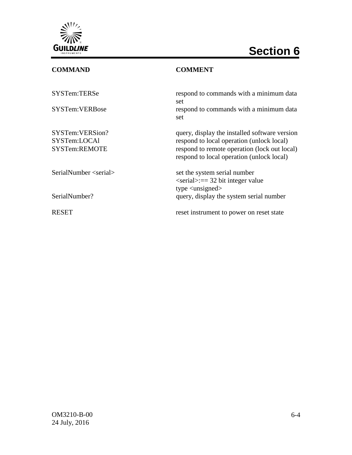

# **Section 6**

## **COMMAND COMMENT**

| SYSTem:TERSe                                     | respond to commands with a minimum data<br>set                                                                                                                                          |
|--------------------------------------------------|-----------------------------------------------------------------------------------------------------------------------------------------------------------------------------------------|
| SYSTem:VERBose                                   | respond to commands with a minimum data<br>set                                                                                                                                          |
| SYSTem:VERSion?<br>SYSTem:LOCAl<br>SYSTem:REMOTE | query, display the installed software version<br>respond to local operation (unlock local)<br>respond to remote operation (lock out local)<br>respond to local operation (unlock local) |
| SerialNumber <                                   | set the system serial number<br>$\le$ serial $\ge$ :== 32 bit integer value<br>type $\langle$ unsigned $\rangle$                                                                        |
| SerialNumber?                                    | query, display the system serial number                                                                                                                                                 |
| <b>RESET</b>                                     | reset instrument to power on reset state                                                                                                                                                |